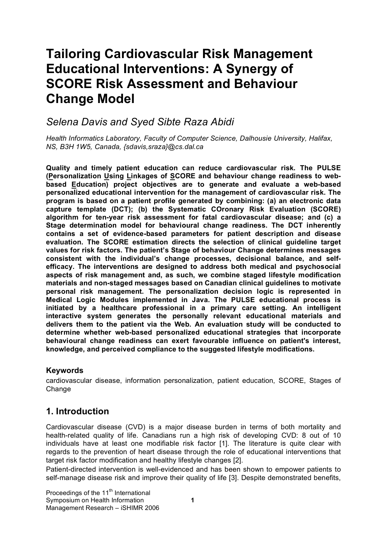# **Tailoring Cardiovascular Risk Management Educational Interventions: A Synergy of SCORE Risk Assessment and Behaviour Change Model**

## *Selena Davis and Syed Sibte Raza Abidi*

*Health Informatics Laboratory, Faculty of Computer Science, Dalhousie University, Halifax, NS, B3H 1W5, Canada, {sdavis,sraza}@cs.dal.ca*

**Quality and timely patient education can reduce cardiovascular risk. The PULSE (Personalization Using Linkages of SCORE and behaviour change readiness to webbased Education) project objectives are to generate and evaluate a web-based personalized educational intervention for the management of cardiovascular risk. The program is based on a patient profile generated by combining: (a) an electronic data capture template (DCT); (b) the Systematic COronary Risk Evaluation (SCORE) algorithm for ten-year risk assessment for fatal cardiovascular disease; and (c) a Stage determination model for behavioural change readiness. The DCT inherently contains a set of evidence-based parameters for patient description and disease evaluation. The SCORE estimation directs the selection of clinical guideline target values for risk factors. The patient's Stage of behaviour Change determines messages consistent with the individual's change processes, decisional balance, and selfefficacy. The interventions are designed to address both medical and psychosocial aspects of risk management and, as such, we combine staged lifestyle modification materials and non-staged messages based on Canadian clinical guidelines to motivate personal risk management. The personalization decision logic is represented in Medical Logic Modules implemented in Java. The PULSE educational process is initiated by a healthcare professional in a primary care setting. An intelligent interactive system generates the personally relevant educational materials and delivers them to the patient via the Web. An evaluation study will be conducted to determine whether web-based personalized educational strategies that incorporate behavioural change readiness can exert favourable influence on patient's interest, knowledge, and perceived compliance to the suggested lifestyle modifications.**

#### **Keywords**

cardiovascular disease, information personalization, patient education, SCORE, Stages of **Change** 

### **1. Introduction**

Cardiovascular disease (CVD) is a major disease burden in terms of both mortality and health-related quality of life. Canadians run a high risk of developing CVD: 8 out of 10 individuals have at least one modifiable risk factor [1]. The literature is quite clear with regards to the prevention of heart disease through the role of educational interventions that target risk factor modification and healthy lifestyle changes [2].

Patient-directed intervention is well-evidenced and has been shown to empower patients to self-manage disease risk and improve their quality of life [3]. Despite demonstrated benefits,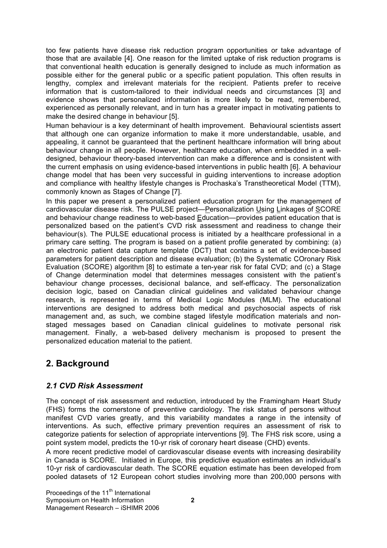too few patients have disease risk reduction program opportunities or take advantage of those that are available [4]. One reason for the limited uptake of risk reduction programs is that conventional health education is generally designed to include as much information as possible either for the general public or a specific patient population. This often results in lengthy, complex and irrelevant materials for the recipient. Patients prefer to receive information that is custom-tailored to their individual needs and circumstances [3] and evidence shows that personalized information is more likely to be read, remembered, experienced as personally relevant, and in turn has a greater impact in motivating patients to make the desired change in behaviour [5].

Human behaviour is a key determinant of health improvement. Behavioural scientists assert that although one can organize information to make it more understandable, usable, and appealing, it cannot be guaranteed that the pertinent healthcare information will bring about behaviour change in all people. However, healthcare education, when embedded in a welldesigned, behaviour theory-based intervention can make a difference and is consistent with the current emphasis on using evidence-based interventions in public health [6]. A behaviour change model that has been very successful in guiding interventions to increase adoption and compliance with healthy lifestyle changes is Prochaska's Transtheoretical Model (TTM), commonly known as Stages of Change [7].

In this paper we present a personalized patient education program for the management of cardiovascular disease risk. The PULSE project—Personalization Using Linkages of SCORE and behaviour change readiness to web-based Education—provides patient education that is personalized based on the patient's CVD risk assessment and readiness to change their behaviour(s). The PULSE educational process is initiated by a healthcare professional in a primary care setting. The program is based on a patient profile generated by combining: (a) an electronic patient data capture template (DCT) that contains a set of evidence-based parameters for patient description and disease evaluation; (b) the Systematic COronary Risk Evaluation (SCORE) algorithm [8] to estimate a ten-year risk for fatal CVD; and (c) a Stage of Change determination model that determines messages consistent with the patient's behaviour change processes, decisional balance, and self-efficacy. The personalization decision logic, based on Canadian clinical guidelines and validated behaviour change research, is represented in terms of Medical Logic Modules (MLM). The educational interventions are designed to address both medical and psychosocial aspects of risk management and, as such, we combine staged lifestyle modification materials and nonstaged messages based on Canadian clinical guidelines to motivate personal risk management. Finally, a web-based delivery mechanism is proposed to present the personalized education material to the patient.

## **2. Background**

#### *2.1 CVD Risk Assessment*

The concept of risk assessment and reduction, introduced by the Framingham Heart Study (FHS) forms the cornerstone of preventive cardiology. The risk status of persons without manifest CVD varies greatly, and this variability mandates a range in the intensity of interventions. As such, effective primary prevention requires an assessment of risk to categorize patients for selection of appropriate interventions [9]. The FHS risk score, using a point system model, predicts the 10-yr risk of coronary heart disease (CHD) events.

A more recent predictive model of cardiovascular disease events with increasing desirability in Canada is SCORE. Initiated in Europe, this predictive equation estimates an individual's 10-yr risk of cardiovascular death. The SCORE equation estimate has been developed from pooled datasets of 12 European cohort studies involving more than 200,000 persons with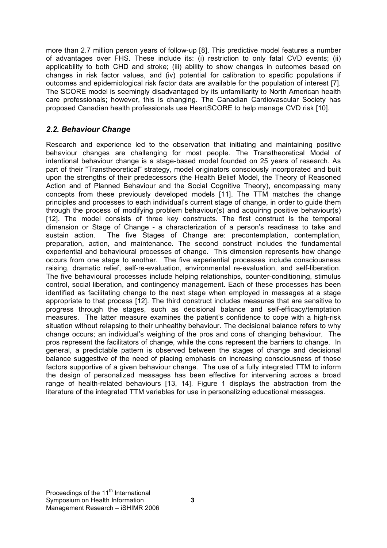more than 2.7 million person years of follow-up [8]. This predictive model features a number of advantages over FHS. These include its: (i) restriction to only fatal CVD events; (ii) applicability to both CHD and stroke; (iii) ability to show changes in outcomes based on changes in risk factor values, and (iv) potential for calibration to specific populations if outcomes and epidemiological risk factor data are available for the population of interest [7]. The SCORE model is seemingly disadvantaged by its unfamiliarity to North American health care professionals; however, this is changing. The Canadian Cardiovascular Society has proposed Canadian health professionals use HeartSCORE to help manage CVD risk [10].

#### *2.2. Behaviour Change*

Research and experience led to the observation that initiating and maintaining positive behaviour changes are challenging for most people. The Transtheoretical Model of intentional behaviour change is a stage-based model founded on 25 years of research. As part of their "Transtheoretical" strategy, model originators consciously incorporated and built upon the strengths of their predecessors (the Health Belief Model, the Theory of Reasoned Action and of Planned Behaviour and the Social Cognitive Theory), encompassing many concepts from these previously developed models [11]. The TTM matches the change principles and processes to each individual's current stage of change, in order to guide them through the process of modifying problem behaviour(s) and acquiring positive behaviour(s) [12]. The model consists of three key constructs. The first construct is the temporal dimension or Stage of Change - a characterization of a person's readiness to take and sustain action. The five Stages of Change are: precontemplation, contemplation, preparation, action, and maintenance. The second construct includes the fundamental experiential and behavioural processes of change. This dimension represents how change occurs from one stage to another. The five experiential processes include consciousness raising, dramatic relief, self-re-evaluation, environmental re-evaluation, and self-liberation. The five behavioural processes include helping relationships, counter-conditioning, stimulus control, social liberation, and contingency management. Each of these processes has been identified as facilitating change to the next stage when employed in messages at a stage appropriate to that process [12]. The third construct includes measures that are sensitive to progress through the stages, such as decisional balance and self-efficacy/temptation measures. The latter measure examines the patient's confidence to cope with a high-risk situation without relapsing to their unhealthy behaviour. The decisional balance refers to why change occurs; an individual's weighing of the pros and cons of changing behaviour. The pros represent the facilitators of change, while the cons represent the barriers to change. In general, a predictable pattern is observed between the stages of change and decisional balance suggestive of the need of placing emphasis on increasing consciousness of those factors supportive of a given behaviour change. The use of a fully integrated TTM to inform the design of personalized messages has been effective for intervening across a broad range of health-related behaviours [13, 14]. Figure 1 displays the abstraction from the literature of the integrated TTM variables for use in personalizing educational messages.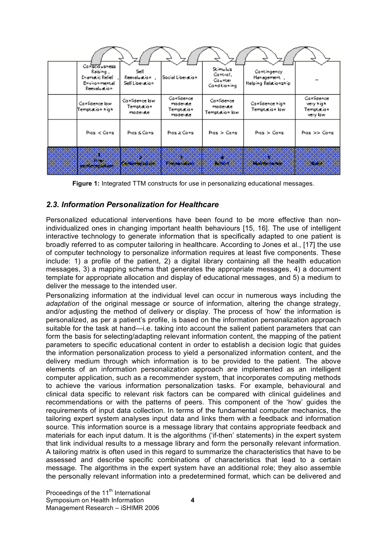| Contacto ushessi<br>Raising ,<br>Diamatic Relief<br>Environmental<br>Reevaluation | Self.<br>Reevaluation<br>Self Liberation | Social Liberation                               | 9. ima las<br>Cantial,<br>Caunter.<br>Candicianing | Cantingency<br>Management<br>Helping Relationship |                                                    |
|-----------------------------------------------------------------------------------|------------------------------------------|-------------------------------------------------|----------------------------------------------------|---------------------------------------------------|----------------------------------------------------|
| Canidence law<br>Temptation high                                                  | Canidence law<br>Temptation.<br>madeiate | Canidence<br>madeiate<br>Temptation<br>madeiate | Confidence<br>madeiate<br>Temptation low:          | Canidence high<br>Temptation low:                 | Canidence<br>very high.<br>Temptation<br>very law. |
| Pias < Cans                                                                       | Pias & Cans                              | Pias & Cansi                                    | Pias > Cans                                        | Pias > Cans                                       | Pias >> Cans                                       |
| æ<br>e e v<br><b>CONSCIORATION</b>                                                | kanta malation                           | <b>Execution</b>                                | P.<br>933 BB                                       | amanan                                            | ೧೮೮                                                |

**Figure 1:** Integrated TTM constructs for use in personalizing educational messages.

#### *2.3. Information Personalization for Healthcare*

Personalized educational interventions have been found to be more effective than nonindividualized ones in changing important health behaviours [15, 16]. The use of intelligent interactive technology to generate information that is specifically adapted to one patient is broadly referred to as computer tailoring in healthcare. According to Jones et al., [17] the use of computer technology to personalize information requires at least five components. These include: 1) a profile of the patient, 2) a digital library containing all the health education messages, 3) a mapping schema that generates the appropriate messages, 4) a document template for appropriate allocation and display of educational messages, and 5) a medium to deliver the message to the intended user.

Personalizing information at the individual level can occur in numerous ways including the *adaptation* of the original message or source of information, altering the change strategy, and/or adjusting the method of delivery or display. The process of 'how' the information is personalized, as per a patient's profile, is based on the information personalization approach suitable for the task at hand—i.e. taking into account the salient patient parameters that can form the basis for selecting/adapting relevant information content, the mapping of the patient parameters to specific educational content in order to establish a decision logic that guides the information personalization process to yield a personalized information content, and the delivery medium through which information is to be provided to the patient. The above elements of an information personalization approach are implemented as an intelligent computer application, such as a recommender system, that incorporates computing methods to achieve the various information personalization tasks. For example, behavioural and clinical data specific to relevant risk factors can be compared with clinical guidelines and recommendations or with the patterns of peers. This component of the 'how' guides the requirements of input data collection. In terms of the fundamental computer mechanics, the tailoring expert system analyses input data and links them with a feedback and information source. This information source is a message library that contains appropriate feedback and materials for each input datum. It is the algorithms ('if-then' statements) in the expert system that link individual results to a message library and form the personally relevant information. A tailoring matrix is often used in this regard to summarize the characteristics that have to be assessed and describe specific combinations of characteristics that lead to a certain message. The algorithms in the expert system have an additional role; they also assemble the personally relevant information into a predetermined format, which can be delivered and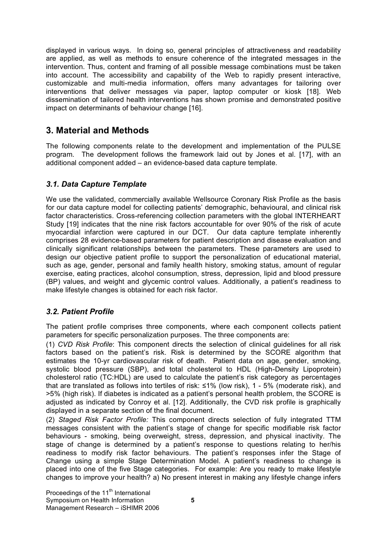displayed in various ways. In doing so, general principles of attractiveness and readability are applied, as well as methods to ensure coherence of the integrated messages in the intervention. Thus, content and framing of all possible message combinations must be taken into account. The accessibility and capability of the Web to rapidly present interactive, customizable and multi-media information, offers many advantages for tailoring over interventions that deliver messages via paper, laptop computer or kiosk [18]. Web dissemination of tailored health interventions has shown promise and demonstrated positive impact on determinants of behaviour change [16].

## **3. Material and Methods**

The following components relate to the development and implementation of the PULSE program. The development follows the framework laid out by Jones et al. [17], with an additional component added – an evidence-based data capture template.

#### *3.1. Data Capture Template*

We use the validated, commercially available Wellsource Coronary Risk Profile as the basis for our data capture model for collecting patients' demographic, behavioural, and clinical risk factor characteristics. Cross-referencing collection parameters with the global INTERHEART Study [19] indicates that the nine risk factors accountable for over 90% of the risk of acute myocardial infarction were captured in our DCT. Our data capture template inherently comprises 28 evidence-based parameters for patient description and disease evaluation and clinically significant relationships between the parameters. These parameters are used to design our objective patient profile to support the personalization of educational material, such as age, gender, personal and family health history, smoking status, amount of regular exercise, eating practices, alcohol consumption, stress, depression, lipid and blood pressure (BP) values, and weight and glycemic control values. Additionally, a patient's readiness to make lifestyle changes is obtained for each risk factor.

#### *3.2. Patient Profile*

The patient profile comprises three components, where each component collects patient parameters for specific personalization purposes. The three components are:

(1) *CVD Risk Profile*: This component directs the selection of clinical guidelines for all risk factors based on the patient's risk. Risk is determined by the SCORE algorithm that estimates the 10-yr cardiovascular risk of death. Patient data on age, gender, smoking, systolic blood pressure (SBP), and total cholesterol to HDL (High-Density Lipoprotein) cholesterol ratio (TC:HDL) are used to calculate the patient's risk category as percentages that are translated as follows into tertiles of risk: ≤1% (low risk), 1 - 5% (moderate risk), and >5% (high risk). If diabetes is indicated as a patient's personal health problem, the SCORE is adjusted as indicated by Conroy et al. [12]. Additionally, the CVD risk profile is graphically displayed in a separate section of the final document.

(2) *Staged Risk Factor Profile:* This component directs selection of fully integrated TTM messages consistent with the patient's stage of change for specific modifiable risk factor behaviours - smoking, being overweight, stress, depression, and physical inactivity. The stage of change is determined by a patient's response to questions relating to her/his readiness to modify risk factor behaviours. The patient's responses infer the Stage of Change using a simple Stage Determination Model. A patient's readiness to change is placed into one of the five Stage categories. For example: Are you ready to make lifestyle changes to improve your health? a) No present interest in making any lifestyle change infers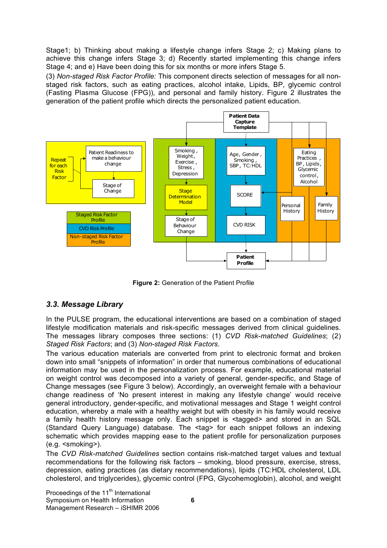Stage1; b) Thinking about making a lifestyle change infers Stage 2; c) Making plans to achieve this change infers Stage 3; d) Recently started implementing this change infers Stage 4; and e) Have been doing this for six months or more infers Stage 5.

(3) *Non-staged Risk Factor Profile:* This component directs selection of messages for all nonstaged risk factors, such as eating practices, alcohol intake, Lipids, BP, glycemic control (Fasting Plasma Glucose (FPG)), and personal and family history. Figure 2 illustrates the generation of the patient profile which directs the personalized patient education.



**Figure 2:** Generation of the Patient Profile

#### *3.3. Message Library*

In the PULSE program, the educational interventions are based on a combination of staged lifestyle modification materials and risk-specific messages derived from clinical guidelines. The messages library composes three sections: (1) *CVD Risk-matched Guidelines*; (2) *Staged Risk Factors*; and (3) *Non-staged Risk Factors*.

The various education materials are converted from print to electronic format and broken down into small "snippets of information" in order that numerous combinations of educational information may be used in the personalization process. For example, educational material on weight control was decomposed into a variety of general, gender-specific, and Stage of Change messages (see Figure 3 below). Accordingly, an overweight female with a behaviour change readiness of 'No present interest in making any lifestyle change' would receive general introductory, gender-specific, and motivational messages and Stage 1 weight control education, whereby a male with a healthy weight but with obesity in his family would receive a family health history message only. Each snippet is <tagged> and stored in an SQL (Standard Query Language) database. The <tag> for each snippet follows an indexing schematic which provides mapping ease to the patient profile for personalization purposes (e.g. <smoking>).

The *CVD Risk-matched Guidelines* section contains risk-matched target values and textual recommendations for the following risk factors – smoking, blood pressure, exercise, stress, depression, eating practices (as dietary recommendations), lipids (TC:HDL cholesterol, LDL cholesterol, and triglycerides), glycemic control (FPG, Glycohemoglobin), alcohol, and weight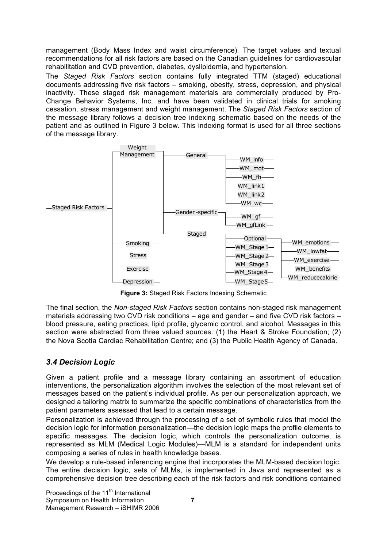management (Body Mass Index and waist circumference). The target values and textual recommendations for all risk factors are based on the Canadian guidelines for cardiovascular rehabilitation and CVD prevention, diabetes, dyslipidemia, and hypertension.

The *Staged Risk Factors* section contains fully integrated TTM (staged) educational documents addressing five risk factors – smoking, obesity, stress, depression, and physical inactivity. These staged risk management materials are commercially produced by Pro-Change Behavior Systems, Inc. and have been validated in clinical trials for smoking cessation, stress management and weight management. The *Staged Risk Factors* section of the message library follows a decision tree indexing schematic based on the needs of the patient and as outlined in Figure 3 below. This indexing format is used for all three sections of the message library.



**Figure 3:** Staged Risk Factors Indexing Schematic

The final section, the *Non-staged Risk Factors* section contains non-staged risk management materials addressing two CVD risk conditions – age and gender – and five CVD risk factors – blood pressure, eating practices, lipid profile, glycemic control, and alcohol. Messages in this section were abstracted from three valued sources: (1) the Heart & Stroke Foundation; (2) the Nova Scotia Cardiac Rehabilitation Centre; and (3) the Public Health Agency of Canada.

#### *3.4 Decision Logic*

Given a patient profile and a message library containing an assortment of education interventions, the personalization algorithm involves the selection of the most relevant set of messages based on the patient's individual profile. As per our personalization approach, we designed a tailoring matrix to summarize the specific combinations of characteristics from the patient parameters assessed that lead to a certain message.

Personalization is achieved through the processing of a set of symbolic rules that model the decision logic for information personalization—the decision logic maps the profile elements to specific messages. The decision logic, which controls the personalization outcome, is represented as MLM (Medical Logic Modules)—MLM is a standard for independent units composing a series of rules in health knowledge bases.

We develop a rule-based inferencing engine that incorporates the MLM-based decision logic. The entire decision logic, sets of MLMs, is implemented in Java and represented as a comprehensive decision tree describing each of the risk factors and risk conditions contained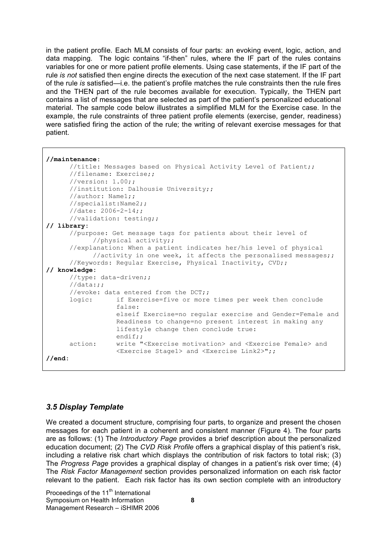in the patient profile. Each MLM consists of four parts: an evoking event, logic, action, and data mapping. The logic contains "if-then" rules, where the IF part of the rules contains variables for one or more patient profile elements. Using case statements, if the IF part of the rule *is not* satisfied then engine directs the execution of the next case statement. If the IF part of the rule *is* satisfied—i.e. the patient's profile matches the rule constraints then the rule fires and the THEN part of the rule becomes available for execution. Typically, the THEN part contains a list of messages that are selected as part of the patient's personalized educational material. The sample code below illustrates a simplified MLM for the Exercise case. In the example, the rule constraints of three patient profile elements (exercise, gender, readiness) were satisfied firing the action of the rule; the writing of relevant exercise messages for that patient.

```
//maintenance:
     //title: Messages based on Physical Activity Level of Patient;;
      //filename: Exercise;;
      //version: 1.00;;
      //institution: Dalhousie University;;
      //author: Name1;;
      //specialist:Name2;;
      //date: 2006-2-14;;
      //validation: testing;;
// library:
      //purpose: Get message tags for patients about their level of
            //physical activity;;
      //explanation: When a patient indicates her/his level of physical
            //activity in one week, it affects the personalised messages;;
      //Keywords: Regular Exercise, Physical Inactivity, CVD;;
// knowledge:
      //type: data-driven;;
      //data:;;
      //evoke: data entered from the DCT;;
      logic: if Exercise=five or more times per week then conclude
                  false:
                  elseif Exercise=no regular exercise and Gender=Female and
                  Readiness to change=no present interest in making any
                  lifestyle change then conclude true:
                  endif;;
      action: write "<Exercise motivation> and <Exercise Female> and
                 <Exercise Stage1> and <Exercise Link2>";;
//end:
```
#### *3.5 Display Template*

We created a document structure, comprising four parts, to organize and present the chosen messages for each patient in a coherent and consistent manner (Figure 4). The four parts are as follows: (1) The *Introductory Page* provides a brief description about the personalized education document; (2) The *CVD Risk Profile* offers a graphical display of this patient's risk, including a relative risk chart which displays the contribution of risk factors to total risk; (3) The *Progress Page* provides a graphical display of changes in a patient's risk over time; (4) The *Risk Factor Management* section provides personalized information on each risk factor relevant to the patient. Each risk factor has its own section complete with an introductory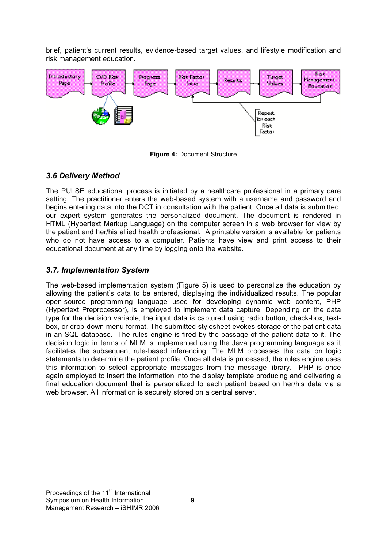brief, patient's current results, evidence-based target values, and lifestyle modification and risk management education.



**Figure 4:** Document Structure

#### *3.6 Delivery Method*

The PULSE educational process is initiated by a healthcare professional in a primary care setting. The practitioner enters the web-based system with a username and password and begins entering data into the DCT in consultation with the patient. Once all data is submitted, our expert system generates the personalized document. The document is rendered in HTML (Hypertext Markup Language) on the computer screen in a web browser for view by the patient and her/his allied health professional. A printable version is available for patients who do not have access to a computer. Patients have view and print access to their educational document at any time by logging onto the website.

#### *3.7. Implementation System*

The web-based implementation system (Figure 5) is used to personalize the education by allowing the patient's data to be entered, displaying the individualized results. The popular open-source programming language used for developing dynamic web content, PHP (Hypertext Preprocessor), is employed to implement data capture. Depending on the data type for the decision variable, the input data is captured using radio button, check-box, textbox, or drop-down menu format. The submitted stylesheet evokes storage of the patient data in an SQL database. The rules engine is fired by the passage of the patient data to it. The decision logic in terms of MLM is implemented using the Java programming language as it facilitates the subsequent rule-based inferencing. The MLM processes the data on logic statements to determine the patient profile. Once all data is processed, the rules engine uses this information to select appropriate messages from the message library. PHP is once again employed to insert the information into the display template producing and delivering a final education document that is personalized to each patient based on her/his data via a web browser. All information is securely stored on a central server.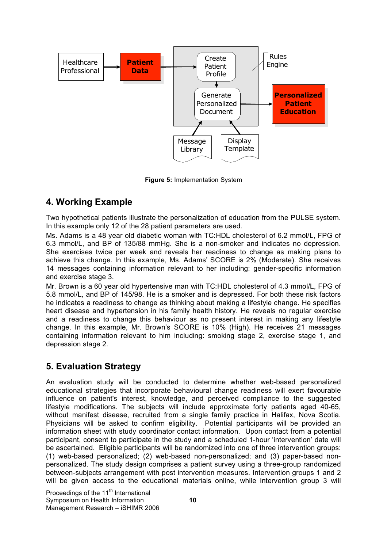

**Figure 5:** Implementation System

## **4. Working Example**

Two hypothetical patients illustrate the personalization of education from the PULSE system. In this example only 12 of the 28 patient parameters are used.

Ms. Adams is a 48 year old diabetic woman with TC:HDL cholesterol of 6.2 mmol/L, FPG of 6.3 mmol/L, and BP of 135/88 mmHg. She is a non-smoker and indicates no depression. She exercises twice per week and reveals her readiness to change as making plans to achieve this change. In this example, Ms. Adams' SCORE is 2% (Moderate). She receives 14 messages containing information relevant to her including: gender-specific information and exercise stage 3.

Mr. Brown is a 60 year old hypertensive man with TC:HDL cholesterol of 4.3 mmol/L, FPG of 5.8 mmol/L, and BP of 145/98. He is a smoker and is depressed. For both these risk factors he indicates a readiness to change as thinking about making a lifestyle change. He specifies heart disease and hypertension in his family health history. He reveals no regular exercise and a readiness to change this behaviour as no present interest in making any lifestyle change. In this example, Mr. Brown's SCORE is 10% (High). He receives 21 messages containing information relevant to him including: smoking stage 2, exercise stage 1, and depression stage 2.

## **5. Evaluation Strategy**

An evaluation study will be conducted to determine whether web-based personalized educational strategies that incorporate behavioural change readiness will exert favourable influence on patient's interest, knowledge, and perceived compliance to the suggested lifestyle modifications. The subjects will include approximate forty patients aged 40-65, without manifest disease, recruited from a single family practice in Halifax, Nova Scotia. Physicians will be asked to confirm eligibility. Potential participants will be provided an information sheet with study coordinator contact information. Upon contact from a potential participant, consent to participate in the study and a scheduled 1-hour 'intervention' date will be ascertained. Eligible participants will be randomized into one of three intervention groups: (1) web-based personalized; (2) web-based non-personalized; and (3) paper-based nonpersonalized. The study design comprises a patient survey using a three-group randomized between-subjects arrangement with post intervention measures. Intervention groups 1 and 2 will be given access to the educational materials online, while intervention group 3 will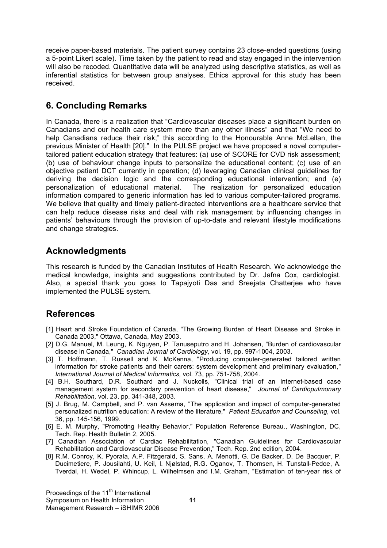receive paper-based materials. The patient survey contains 23 close-ended questions (using a 5-point Likert scale). Time taken by the patient to read and stay engaged in the intervention will also be recoded. Quantitative data will be analyzed using descriptive statistics, as well as inferential statistics for between group analyses. Ethics approval for this study has been received.

## **6. Concluding Remarks**

In Canada, there is a realization that "Cardiovascular diseases place a significant burden on Canadians and our health care system more than any other illness" and that "We need to help Canadians reduce their risk;" this according to the Honourable Anne McLellan, the previous Minister of Health [20]." In the PULSE project we have proposed a novel computertailored patient education strategy that features: (a) use of SCORE for CVD risk assessment; (b) use of behaviour change inputs to personalize the educational content; (c) use of an objective patient DCT currently in operation; (d) leveraging Canadian clinical guidelines for deriving the decision logic and the corresponding educational intervention; and (e) personalization of educational material. The realization for personalized education information compared to generic information has led to various computer-tailored programs. We believe that quality and timely patient-directed interventions are a healthcare service that can help reduce disease risks and deal with risk management by influencing changes in patients' behaviours through the provision of up-to-date and relevant lifestyle modifications and change strategies.

## **Acknowledgments**

This research is funded by the Canadian Institutes of Health Research. We acknowledge the medical knowledge, insights and suggestions contributed by Dr. Jafna Cox, cardiologist. Also, a special thank you goes to Tapajyoti Das and Sreejata Chatterjee who have implemented the PULSE system.

## **References**

- [1] Heart and Stroke Foundation of Canada, "The Growing Burden of Heart Disease and Stroke in Canada 2003," Ottawa, Canada, May 2003.
- [2] D.G. Manuel, M. Leung, K. Nguyen, P. Tanuseputro and H. Johansen, "Burden of cardiovascular disease in Canada," *Canadian Journal of Cardiology,* vol. 19, pp. 997-1004, 2003.
- [3] T. Hoffmann, T. Russell and K. McKenna, "Producing computer-generated tailored written information for stroke patients and their carers: system development and preliminary evaluation," *International Journal of Medical Informatics,* vol. 73, pp. 751-758, 2004.
- [4] B.H. Southard, D.R. Southard and J. Nuckolls, "Clinical trial of an Internet-based case management system for secondary prevention of heart disease," *Journal of Cardiopulmonary Rehabilitation,* vol. 23, pp. 341-348, 2003.
- [5] J. Brug, M. Campbell, and P. van Assema, "The application and impact of computer-generated personalized nutrition education: A review of the literature," *Patient Education and Counseling,* vol. 36, pp. 145-156, 1999.
- [6] E. M. Murphy, "Promoting Healthy Behavior," Population Reference Bureau., Washington, DC, Tech. Rep. Health Bulletin 2, 2005.
- [7] Canadian Association of Cardiac Rehabilitation, "Canadian Guidelines for Cardiovascular Rehabilitation and Cardiovascular Disease Prevention," Tech. Rep. 2nd edition, 2004.
- [8] R.M. Conroy, K. Pyorala, A.P. Fitzgerald, S. Sans, A. Menotti, G. De Backer, D. De Bacquer, P. Ducimetiere, P. Jousilahti, U. Keil, I. Njølstad, R.G. Oganov, T. Thomsen, H. Tunstall-Pedoe, A. Tverdal, H. Wedel, P. Whincup, L. Wilhelmsen and I.M. Graham, "Estimation of ten-year risk of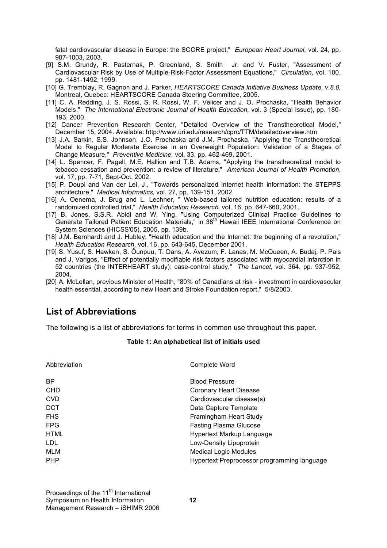fatal cardiovascular disease in Europe: the SCORE project," *European Heart Journal,* vol. 24, pp. 987-1003, 2003.

- [9] S.M. Grundy, R. Pasternak, P. Greenland, S. Smith Jr. and V. Fuster, "Assessment of Cardiovascular Risk by Use of Multiple-Risk-Factor Assessment Equations," *Circulation,* vol. 100, pp. 1481-1492, 1999.
- [10] G. Tremblay, R. Gagnon and J. Parker, *HEARTSCORE Canada Initiative Business Update, v.8.0,* Montreal, Quebec: HEARTSCORE Canada Steering Committee, 2005.
- [11] C. A. Redding, J. S. Rossi, S. R. Rossi, W. F. Velicer and J. O. Prochaska, "Health Behavior Models," *The International Electronic Journal of Health Education,* vol. 3 (Special Issue), pp. 180- 193, 2000.
- [12] Cancer Prevention Research Center, "Detailed Overview of the Transtheoretical Model," December 15, 2004. Available: http://www.uri.edu/research/cprc/TTM/detailedoverview.htm
- [13] J.A. Sarkin, S.S. Johnson, J.O. Prochaska and J.M. Prochaska, "Applying the Transtheoretical Model to Regular Moderate Exercise in an Overweight Population: Validation of a Stages of Change Measure," *Preventive Medicine,* vol. 33, pp. 462-469, 2001.
- [14] L. Spencer, F. Pagell, M.E. Hallion and T.B. Adams, "Applying the transtheoretical model to tobacco cessation and prevention: a review of literature," *American Journal of Health Promotion,* vol. 17, pp. 7-71, Sept-Oct. 2002.
- [15] P. Doupi and Van der Lei, J., "Towards personalized Internet health information: the STEPPS architecture," *Medical Informatics,* vol. 27, pp. 139-151, 2002.
- [16] A. Oenema, J. Brug and L. Lechner, " Web-based tailored nutrition education: results of a randomized controlled trial," *Health Education Research,* vol. 16, pp. 647-660, 2001.
- [17] B. Jones, S.S.R. Abidi and W. Ying, "Using Computerized Clinical Practice Guidelines to Generate Tailored Patient Education Materials," in 38<sup>th</sup> Hawaii IEEE International Conference on System Sciences (HICSS'05), 2005, pp. 139b.
- [18] J.M. Bernhardt and J. Hubley, "Health education and the Internet: the beginning of a revolution," *Health Education Research,* vol. 16, pp. 643-645, December 2001.
- [19] S. Yusuf, S. Hawken, S. Ôunpuu, T. Dans, A. Avezum, F. Lanas, M. McQueen, A. Budaj, P. Pais and J. Varigos, "Effect of potentially modifiable risk factors associated with myocardial infarction in 52 countries (the INTERHEART study): case-control study," *The Lancet,* vol. 364, pp. 937-952, 2004.
- [20] A. McLellan, previous Minister of Health, "80% of Canadians at risk investment in cardiovascular health essential, according to new Heart and Stroke Foundation report," 5/8/2003.

#### **List of Abbreviations**

The following is a list of abbreviations for terms in common use throughout this paper.

#### **Table 1: An alphabetical list of initials used**

| Abbreviation | Complete Word                               |
|--------------|---------------------------------------------|
| <b>BP</b>    | <b>Blood Pressure</b>                       |
| <b>CHD</b>   | <b>Coronary Heart Disease</b>               |
| <b>CVD</b>   | Cardiovascular disease(s)                   |
| <b>DCT</b>   | Data Capture Template                       |
| <b>FHS</b>   | Framingham Heart Study                      |
| <b>FPG</b>   | <b>Fasting Plasma Glucose</b>               |
| <b>HTML</b>  | Hypertext Markup Language                   |
| LDL.         | Low-Density Lipoprotein                     |
| MLM          | <b>Medical Logic Modules</b>                |
| <b>PHP</b>   | Hypertext Preprocessor programming language |